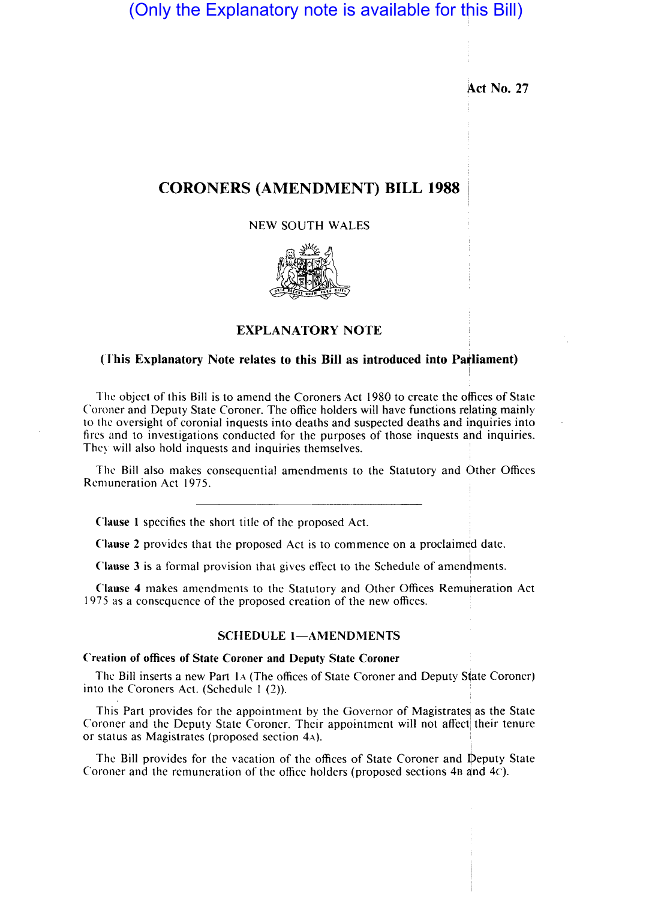# (Only the Explanatory note is available for this Bill)

**Act No. 27** 

## **CORONERS (AMENDMENT) BILL 1988**

NEW SOUTH WALES



## **EXPLANATORY NOTE**

## (This Explanatory Note relates to this Bill as introduced into Parliament)

The object of this Bill is to amend the Coroners Act 1980 to create the offices of State Coroner and Deputy State Coroner. The office holders will have functions relating mainly to the oversight of coronial inquests into deaths and suspected deaths and inquiries into fires and to investigations conducted for the purposes of those inquests and inquiries. Thcy will also hold inquests and inquiries themselves.

The Bill also makes consequential amendments to the Statutory and Other Offices The Bill also makes consequential amendments to the Statutory and Other<br>Remuneration Act 1975.

**Clause I** specifies the short title of the proposed Act.

**Clause 2** provides that the proposed Act is to commence on a proclaimed date.

**Clause 3** is a formal provision that gives effect to the Schedule of amendments.

Clause 4 makes amendments to the Statutory and Other Offices Remuneration Act 1975 as a consequence of the proposed creation of the new offices.

### SCHEDULE 1-AMENDMENTS

## **Creation of offices of State Coroner and Deputy State Coroner**

The Bill inserts a new Part 1A (The offices of State Coroner and Deputy State Coroner) into the Coroners Act. (Schedule 1 (2)).

This Part provides for the appointment by the Governor of Magistrates as the State Coroner and the Deputy State Coroner. Their appointment will not affect their tenure or status as Magistrates (proposed section 4A).

The Bill provides for the vacation of the offices of State Coroner and Deputy State Coroner and the remuneration of the office holders (proposed sections  $4B$  and  $4C$ ).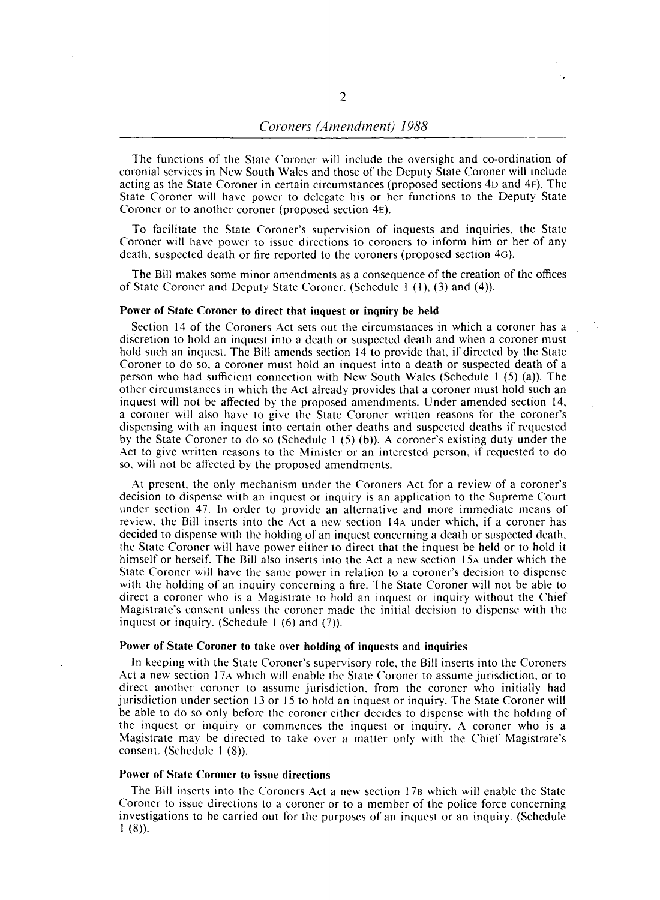The funetions of the State Coroner will include the oversight and co-ordination of coronial serviees in New South Wales and those of the Deputy State Coroner will include acting as the State Coroner in certain circumstances (proposed sections 40 and 4F). The State Coroner will have power to delegate his or her functions to the Deputy State Coroner or to another coroner (proposed section 4E).

To facilitate the State Coroner's supervision of inquests and inquiries, the State Coroner will have power to issue directions to coroners to inform him or her of any death, suspected death or fire reported to the coroners (proposed section 4G).

The Bill makes some minor amendments as a consequence of the creation of the offices of State Coroner and Deputy State Coroner. (Schedule I (I), (3) and (4».

#### Power of State Coroner to direct that inquest or inquiry be held

Section 14 of the Coroners Act sets out the circumstances in which a coroner has a discretion to hold an inquest into a death or suspected death and when a coroner must hold such an inquest. The Bill amends section 14 to provide that, if directed by the State Coroner to do so, a coroner must hold an inquest into a death or suspected death of a person who had sufficient connection with New South Wales (Schedule I (5) (a». The other circumstances in which the Act already provides that a coroner must hold such an inquest will not be affected by the proposed amendments. Under amended section 14, a coroner will also have to give the State Coroner written reasons for the coroner's dispensing with an inquest into certain other deaths and suspected deaths if requested by the State Coroner to do so (Schedule 1  $(5)$  (b)). A coroner's existing duty under the Act to give written reasons to the Minister or an interested person, if requested to do so, will not be affected by the proposed amendments.

At present, the only mechanism under the Coroners Act for a review of a coroner's decision to dispense with an inquest or inquiry is an application to the Supreme Court under section 47. In order to provide an alternative and more immediate means of review, the Bill inserts into the Act a new section 14A under which, if a coroner has decided to dispense with the holding of an inquest concerning a death or suspected death, the State Coroner will have power either to direct that the inquest be held or to hold it himself or herself. The Bill also inserts into the Act a new section 15A under which the State Coroner will have the same power in relation to a coroner's decision to dispense with the holding of an inquiry concerning a fire. The State Coroner will not be able to direct a coroner who is a Magistrate to hold an inquest or inquiry without the Chief Magistrate's consent unless the coroner made the initial decision to dispense with the inquest or inquiry. (Schedule  $1(6)$  and  $(7)$ ).

#### Power of State Coroner to take over holding of inquests and inquiries

In keeping with the State Coroner's supervisory role, the Bill inserts into the Coroners Act a new section 17A which will enable the State Coroner to assume jurisdiction, or to direct another coroner to assume jurisdiction. from the coroner who initially had jurisdiction under section 13 or 15 to hold an inquest or inquiry. The State Coroner will be able to do so only before the coroner either decides to dispense with the holding of the inquest or inquiry or commences the inquest or inquiry. A coroner who is a Magistrate may be directed to take over a matter only with the Chief Magistrate's consent. (Schedule I (8)).

#### Power of State Coroner to issue directions

The Bill inserts into the Coroners Act a new section 17B which will enable the State Coroner to issue directions to a coroner or to a member of the police force concerning investigations to be carried out for the purposes of an inquest or an inquiry. (Schedule  $1(8)$ .